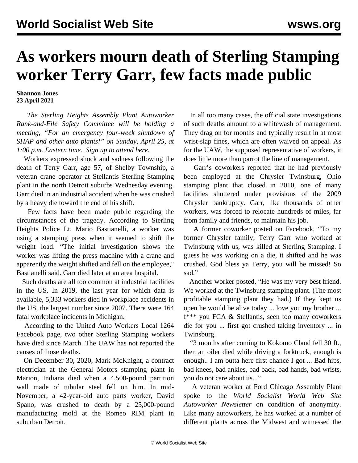## **As workers mourn death of Sterling Stamping worker Terry Garr, few facts made public**

**Shannon Jones 23 April 2021**

 *The Sterling Heights Assembly Plant Autoworker Rank-and-File Safety Committee will be holding a meeting, "For an emergency four-week shutdown of SHAP and other auto plants!" on Sunday, April 25, at 1:00 p.m. Eastern time. [Sign up to attend here.](https://register.gotowebinar.com/register/6399491240180133389)*

 Workers expressed shock and sadness following the death of Terry Garr, age 57, of Shelby Township, a veteran crane operator at Stellantis Sterling Stamping plant in the north Detroit suburbs Wednesday evening. Garr died in an industrial accident when he was crushed by a heavy die toward the end of his shift.

 Few facts have been made public regarding the circumstances of the tragedy. According to Sterling Heights Police Lt. Mario Bastianelli, a worker was using a stamping press when it seemed to shift the weight load. "The initial investigation shows the worker was lifting the press machine with a crane and apparently the weight shifted and fell on the employee," Bastianelli said. Garr died later at an area hospital.

 Such deaths are all too common at industrial facilities in the US. In 2019, the last year for which data is available, 5,333 workers died in workplace accidents in the US, the largest number since 2007. There were 164 fatal workplace incidents in Michigan.

 According to the United Auto Workers Local 1264 Facebook page, two other Sterling Stamping workers have died since March. The UAW has not reported the causes of those deaths.

 On December 30, 2020, [Mark McKnight](/en/articles/2021/01/04/gm-j04.html), a contract electrician at the General Motors stamping plant in Marion, Indiana died when a 4,500-pound partition wall made of tubular steel fell on him. In mid-November, a 42-year-old auto parts worker, David Spano, was [crushed to death](/en/articles/2020/11/14/part-n14.html) by a 25,000-pound manufacturing mold at the Romeo RIM plant in suburban Detroit.

 In all too many cases, the official state investigations of such deaths amount to a whitewash of management. They drag on for months and typically result in at most wrist-slap fines, which are often waived on appeal. As for the UAW, the supposed representative of workers, it does little more than parrot the line of management.

 Garr's coworkers reported that he had previously been employed at the Chrysler Twinsburg, Ohio stamping plant that closed in 2010, one of many facilities shuttered under provisions of the 2009 Chrysler bankruptcy. Garr, like thousands of other workers, was forced to relocate hundreds of miles, far from family and friends, to maintain his job.

 A former coworker posted on Facebook, "To my former Chrysler family, Terry Garr who worked at Twinsburg with us, was killed at Sterling Stamping. I guess he was working on a die, it shifted and he was crushed. God bless ya Terry, you will be missed! So sad."

 Another worker posted, "He was my very best friend. We worked at the Twinsburg stamping plant. (The most profitable stamping plant they had.) If they kept us open he would be alive today ... love you my brother ... f\*\*\* you FCA & Stellantis, seen too many coworkers die for you ... first got crushed taking inventory ... in Twinsburg.

 "3 months after coming to Kokomo Claud fell 30 ft., then an oiler died while driving a forktruck, enough is enough.. I am outta here first chance I got ... Bad hips, bad knees, bad ankles, bad back, bad hands, bad wrists, you do not care about us..."

 A veteran worker at Ford Chicago Assembly Plant spoke to the *World Socialist World Web Site Autoworker Newsletter* on condition of anonymity. Like many autoworkers, he has worked at a number of different plants across the Midwest and witnessed the